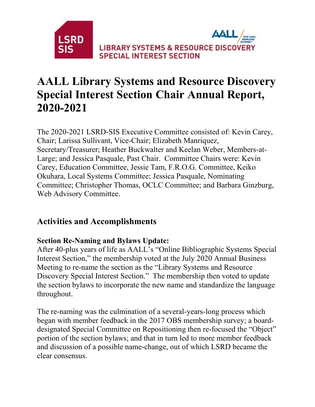

# **AALL Library Systems and Resource Discovery Special Interest Section Chair Annual Report, 2020-2021**

The 2020-2021 LSRD-SIS Executive Committee consisted of: Kevin Carey, Chair; Larissa Sullivant, Vice-Chair; Elizabeth Manriquez, Secretary/Treasurer; Heather Buckwalter and Keelan Weber, Members-at-Large; and Jessica Pasquale, Past Chair. Committee Chairs were: Kevin Carey, Education Committee, Jessie Tam, F.R.O.G. Committee, Keiko Okuhara, Local Systems Committee; Jessica Pasquale, Nominating Committee; Christopher Thomas, OCLC Committee; and Barbara Ginzburg, Web Advisory Committee.

## **Activities and Accomplishments**

#### **Section Re-Naming and Bylaws Update:**

After 40-plus years of life as AALL's "Online Bibliographic Systems Special Interest Section," the membership voted at the July 2020 Annual Business Meeting to re-name the section as the "Library Systems and Resource Discovery Special Interest Section." The membership then voted to update the section bylaws to incorporate the new name and standardize the language throughout.

The re-naming was the culmination of a several-years-long process which began with member feedback in the 2017 OBS membership survey; a boarddesignated Special Committee on Repositioning then re-focused the "Object" portion of the section bylaws; and that in turn led to more member feedback and discussion of a possible name-change, out of which LSRD became the clear consensus.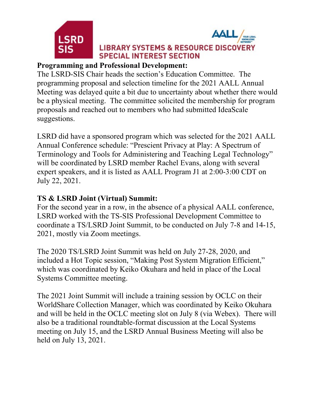



#### **LIBRARY SYSTEMS & RESOURCE DISCOVERY SPECIAL INTEREST SECTION**

#### **Programming and Professional Development:**

The LSRD-SIS Chair heads the section's Education Committee. The programming proposal and selection timeline for the 2021 AALL Annual Meeting was delayed quite a bit due to uncertainty about whether there would be a physical meeting. The committee solicited the membership for program proposals and reached out to members who had submitted IdeaScale suggestions.

LSRD did have a sponsored program which was selected for the 2021 AALL Annual Conference schedule: "Prescient Privacy at Play: A Spectrum of Terminology and Tools for Administering and Teaching Legal Technology" will be coordinated by LSRD member Rachel Evans, along with several expert speakers, and it is listed as AALL Program J1 at 2:00-3:00 CDT on July 22, 2021.

## **TS & LSRD Joint (Virtual) Summit:**

For the second year in a row, in the absence of a physical AALL conference, LSRD worked with the TS-SIS Professional Development Committee to coordinate a TS/LSRD Joint Summit, to be conducted on July 7-8 and 14-15, 2021, mostly via Zoom meetings.

The 2020 TS/LSRD Joint Summit was held on July 27-28, 2020, and included a Hot Topic session, "Making Post System Migration Efficient," which was coordinated by Keiko Okuhara and held in place of the Local Systems Committee meeting.

The 2021 Joint Summit will include a training session by OCLC on their WorldShare Collection Manager, which was coordinated by Keiko Okuhara and will be held in the OCLC meeting slot on July 8 (via Webex). There will also be a traditional roundtable-format discussion at the Local Systems meeting on July 15, and the LSRD Annual Business Meeting will also be held on July 13, 2021.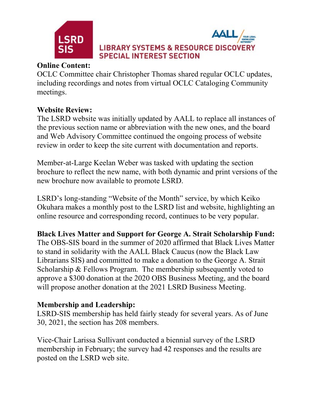



#### **Online Content:**

OCLC Committee chair Christopher Thomas shared regular OCLC updates, including recordings and notes from virtual OCLC Cataloging Community meetings.

## **Website Review:**

The LSRD website was initially updated by AALL to replace all instances of the previous section name or abbreviation with the new ones, and the board and Web Advisory Committee continued the ongoing process of website review in order to keep the site current with documentation and reports.

Member-at-Large Keelan Weber was tasked with updating the section brochure to reflect the new name, with both dynamic and print versions of the new brochure now available to promote LSRD.

LSRD's long-standing "Website of the Month" service, by which Keiko Okuhara makes a monthly post to the LSRD list and website, highlighting an online resource and corresponding record, continues to be very popular.

**Black Lives Matter and Support for George A. Strait Scholarship Fund:**

The OBS-SIS board in the summer of 2020 affirmed that Black Lives Matter to stand in solidarity with the AALL Black Caucus (now the Black Law Librarians SIS) and committed to make a donation to the George A. Strait Scholarship & Fellows Program. The membership subsequently voted to approve a \$300 donation at the 2020 OBS Business Meeting, and the board will propose another donation at the 2021 LSRD Business Meeting.

#### **Membership and Leadership:**

LSRD-SIS membership has held fairly steady for several years. As of June 30, 2021, the section has 208 members.

Vice-Chair Larissa Sullivant conducted a biennial survey of the LSRD membership in February; the survey had 42 responses and the results are posted on the LSRD web site.